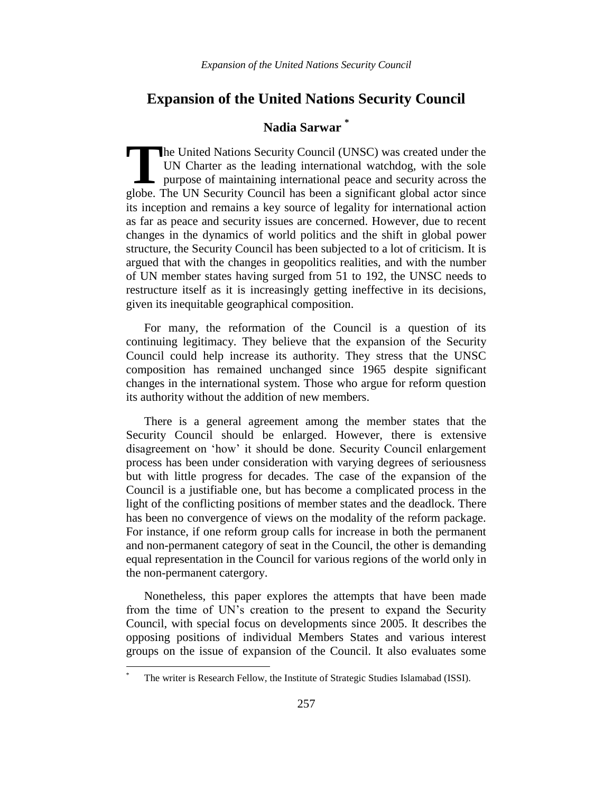# **Nadia Sarwar \***

he United Nations Security Council (UNSC) was created under the UN Charter as the leading international watchdog, with the sole **L** purpose of maintaining international peace and security across the The United Nations Security Council (UNSC) was created under the UN Charter as the leading international watchdog, with the sole purpose of maintaining international peace and security across the globe. The UN Security Cou its inception and remains a key source of legality for international action as far as peace and security issues are concerned. However, due to recent changes in the dynamics of world politics and the shift in global power structure, the Security Council has been subjected to a lot of criticism. It is argued that with the changes in geopolitics realities, and with the number of UN member states having surged from 51 to 192, the UNSC needs to restructure itself as it is increasingly getting ineffective in its decisions, given its inequitable geographical composition.

For many, the reformation of the Council is a question of its continuing legitimacy. They believe that the expansion of the Security Council could help increase its authority. They stress that the UNSC composition has remained unchanged since 1965 despite significant changes in the international system. Those who argue for reform question its authority without the addition of new members.

There is a general agreement among the member states that the Security Council should be enlarged. However, there is extensive disagreement on "how" it should be done. Security Council enlargement process has been under consideration with varying degrees of seriousness but with little progress for decades. The case of the expansion of the Council is a justifiable one, but has become a complicated process in the light of the conflicting positions of member states and the deadlock. There has been no convergence of views on the modality of the reform package. For instance, if one reform group calls for increase in both the permanent and non-permanent category of seat in the Council, the other is demanding equal representation in the Council for various regions of the world only in the non-permanent catergory.

Nonetheless, this paper explores the attempts that have been made from the time of UN"s creation to the present to expand the Security Council, with special focus on developments since 2005. It describes the opposing positions of individual Members States and various interest groups on the issue of expansion of the Council. It also evaluates some

 $\overline{a}$ 

The writer is Research Fellow, the Institute of Strategic Studies Islamabad (ISSI).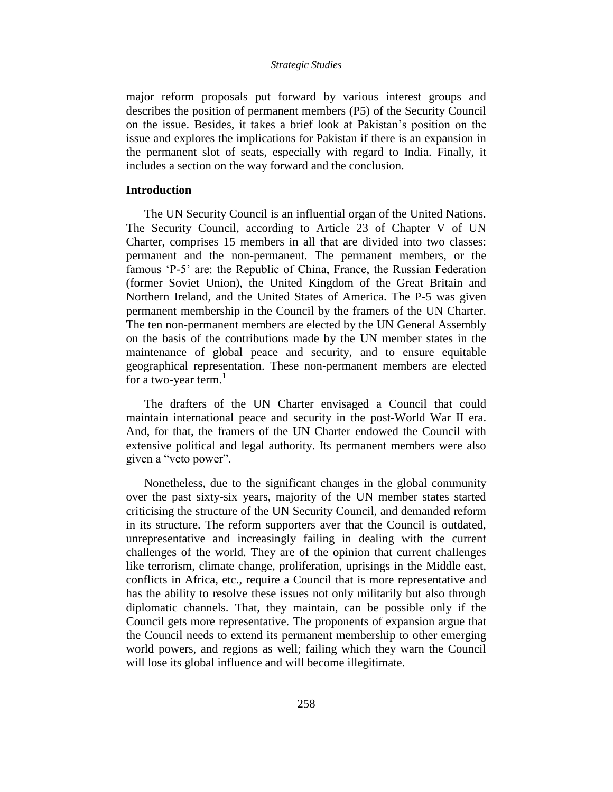major reform proposals put forward by various interest groups and describes the position of permanent members (P5) of the Security Council on the issue. Besides, it takes a brief look at Pakistan"s position on the issue and explores the implications for Pakistan if there is an expansion in the permanent slot of seats, especially with regard to India. Finally, it includes a section on the way forward and the conclusion.

### **Introduction**

The UN Security Council is an influential organ of the United Nations. The Security Council, according to Article 23 of Chapter V of UN Charter, comprises 15 members in all that are divided into two classes: permanent and the non-permanent. The permanent members, or the famous "P-5" are: the Republic of China, France, the Russian Federation (former Soviet Union), the United Kingdom of the Great Britain and Northern Ireland, and the United States of America. The P-5 was given permanent membership in the Council by the framers of the UN Charter. The ten non-permanent members are elected by the UN General Assembly on the basis of the contributions made by the UN member states in the maintenance of global peace and security, and to ensure equitable geographical representation. These non-permanent members are elected for a two-year term. $<sup>1</sup>$ </sup>

The drafters of the UN Charter envisaged a Council that could maintain international peace and security in the post-World War II era. And, for that, the framers of the UN Charter endowed the Council with extensive political and legal authority. Its permanent members were also given a "veto power".

Nonetheless, due to the significant changes in the global community over the past sixty-six years, majority of the UN member states started criticising the structure of the UN Security Council, and demanded reform in its structure. The reform supporters aver that the Council is outdated, unrepresentative and increasingly failing in dealing with the current challenges of the world. They are of the opinion that current challenges like terrorism, climate change, proliferation, uprisings in the Middle east, conflicts in Africa, etc., require a Council that is more representative and has the ability to resolve these issues not only militarily but also through diplomatic channels. That, they maintain, can be possible only if the Council gets more representative. The proponents of expansion argue that the Council needs to extend its permanent membership to other emerging world powers, and regions as well; failing which they warn the Council will lose its global influence and will become illegitimate.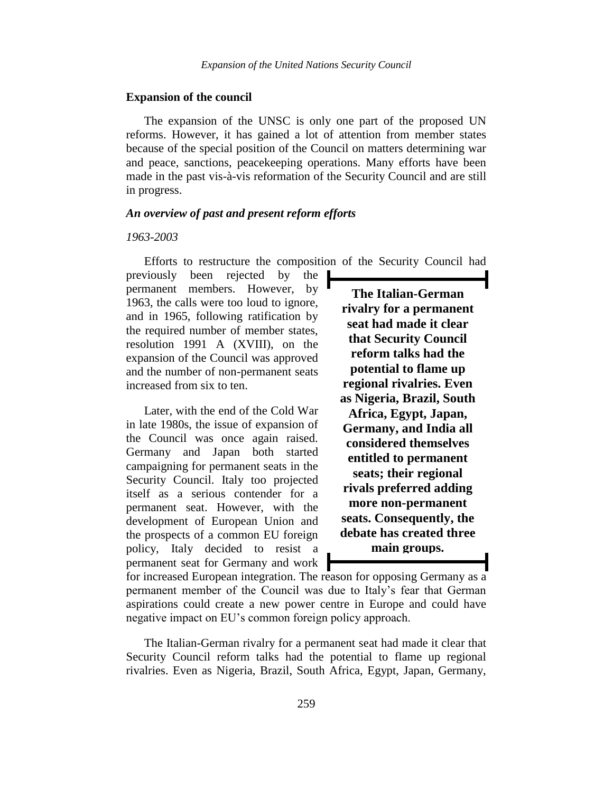#### **Expansion of the council**

The expansion of the UNSC is only one part of the proposed UN reforms. However, it has gained a lot of attention from member states because of the special position of the Council on matters determining war and peace, sanctions, peacekeeping operations. Many efforts have been made in the past vis-à-vis reformation of the Security Council and are still in progress.

# *An overview of past and present reform efforts*

### *1963-2003*

Efforts to restructure the composition of the Security Council had

previously been rejected by the permanent members. However, by 1963, the calls were too loud to ignore, and in 1965, following ratification by the required number of member states, resolution 1991 A (XVIII), on the expansion of the Council was approved and the number of non-permanent seats increased from six to ten.

Later, with the end of the Cold War in late 1980s, the issue of expansion of the Council was once again raised. Germany and Japan both started campaigning for permanent seats in the Security Council. Italy too projected itself as a serious contender for a permanent seat. However, with the development of European Union and the prospects of a common EU foreign policy, Italy decided to resist a permanent seat for Germany and work

**The Italian-German rivalry for a permanent seat had made it clear that Security Council reform talks had the potential to flame up regional rivalries. Even as Nigeria, Brazil, South Africa, Egypt, Japan, Germany, and India all considered themselves entitled to permanent seats; their regional rivals preferred adding more non-permanent seats. Consequently, the debate has created three main groups.**

for increased European integration. The reason for opposing Germany as a permanent member of the Council was due to Italy"s fear that German aspirations could create a new power centre in Europe and could have negative impact on EU"s common foreign policy approach.

The Italian-German rivalry for a permanent seat had made it clear that Security Council reform talks had the potential to flame up regional rivalries. Even as Nigeria, Brazil, South Africa, Egypt, Japan, Germany,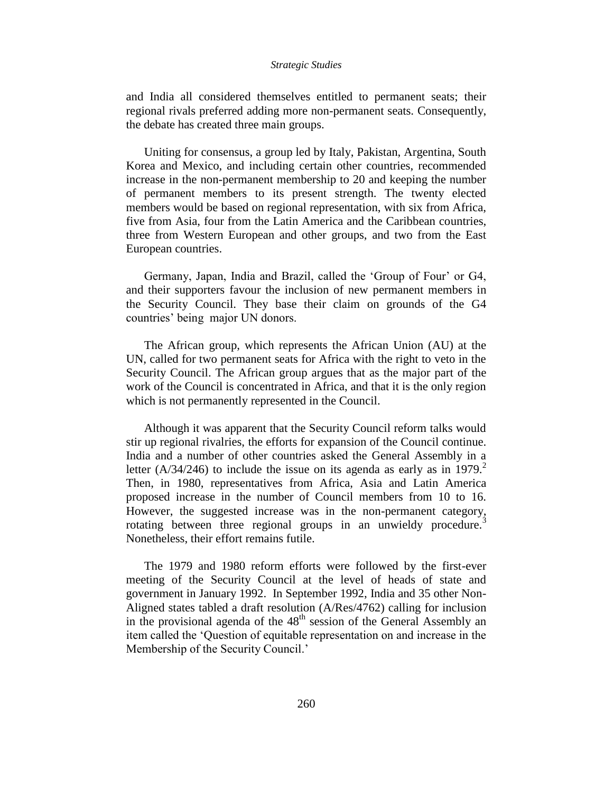and India all considered themselves entitled to permanent seats; their regional rivals preferred adding more non-permanent seats. Consequently, the debate has created three main groups.

Uniting for consensus, a group led by Italy, Pakistan, Argentina, South Korea and Mexico, and including certain other countries, recommended increase in the non-permanent membership to 20 and keeping the number of permanent members to its present strength. The twenty elected members would be based on regional representation, with six from Africa, five from Asia, four from the Latin America and the Caribbean countries, three from Western European and other groups, and two from the East European countries.

Germany, Japan, India and Brazil, called the "Group of Four" or G4, and their supporters favour the inclusion of new permanent members in the Security Council. They base their claim on grounds of the G4 countries" being major UN donors.

The African group, which represents the African Union (AU) at the UN, called for two permanent seats for Africa with the right to veto in the Security Council. The African group argues that as the major part of the work of the Council is concentrated in Africa, and that it is the only region which is not permanently represented in the Council.

Although it was apparent that the Security Council reform talks would stir up regional rivalries, the efforts for expansion of the Council continue. India and a number of other countries asked the General Assembly in a letter (A/34/246) to include the issue on its agenda as early as in 1979.<sup>2</sup> Then, in 1980, representatives from Africa, Asia and Latin America proposed increase in the number of Council members from 10 to 16. However, the suggested increase was in the non-permanent category, rotating between three regional groups in an unwieldy procedure.<sup>3</sup> Nonetheless, their effort remains futile.

The 1979 and 1980 reform efforts were followed by the first-ever meeting of the Security Council at the level of heads of state and government in January 1992. In September 1992, India and 35 other Non-Aligned states tabled a draft resolution (A/Res/4762) calling for inclusion in the provisional agenda of the 48<sup>th</sup> session of the General Assembly an item called the "Question of equitable representation on and increase in the Membership of the Security Council.'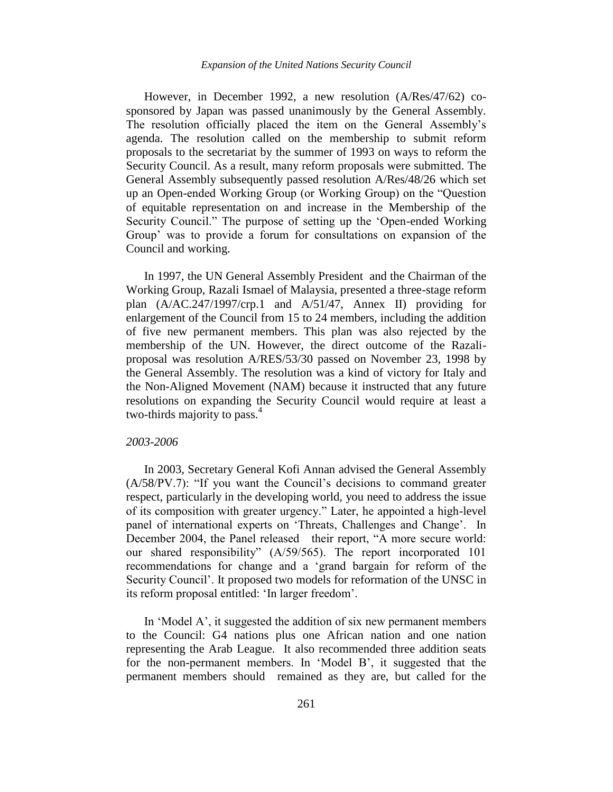However, in December 1992, a new resolution (A/Res/47/62) cosponsored by Japan was passed unanimously by the General Assembly. The resolution officially placed the item on the General Assembly"s agenda. The resolution called on the membership to submit reform proposals to the secretariat by the summer of 1993 on ways to reform the Security Council. As a result, many reform proposals were submitted. The General Assembly subsequently passed resolution A/Res/48/26 which set up an Open-ended Working Group (or Working Group) on the "Question of equitable representation on and increase in the Membership of the Security Council." The purpose of setting up the "Open-ended Working Group" was to provide a forum for consultations on expansion of the Council and working.

In 1997, the UN General Assembly President and the Chairman of the Working Group, Razali Ismael of Malaysia, presented a three-stage reform plan (A/AC.247/1997/crp.1 and A/51/47, Annex II) providing for enlargement of the Council from 15 to 24 members, including the addition of five new permanent members. This plan was also rejected by the membership of the UN. However, the direct outcome of the Razaliproposal was resolution A/RES/53/30 passed on November 23, 1998 by the General Assembly. The resolution was a kind of victory for Italy and the Non-Aligned Movement (NAM) because it instructed that any future resolutions on expanding the Security Council would require at least a two-thirds majority to pass.<sup>4</sup>

### *2003-2006*

In 2003, Secretary General Kofi Annan advised the General Assembly (A/58/PV.7): "If you want the Council"s decisions to command greater respect, particularly in the developing world, you need to address the issue of its composition with greater urgency." Later, he appointed a high-level panel of international experts on 'Threats, Challenges and Change'. In December 2004, the Panel released their report, "A more secure world: our shared responsibility" (A/59/565). The report incorporated 101 recommendations for change and a "grand bargain for reform of the Security Council". It proposed two models for reformation of the UNSC in its reform proposal entitled: "In larger freedom".

In 'Model A', it suggested the addition of six new permanent members to the Council: G4 nations plus one African nation and one nation representing the Arab League. It also recommended three addition seats for the non-permanent members. In "Model B", it suggested that the permanent members should remained as they are, but called for the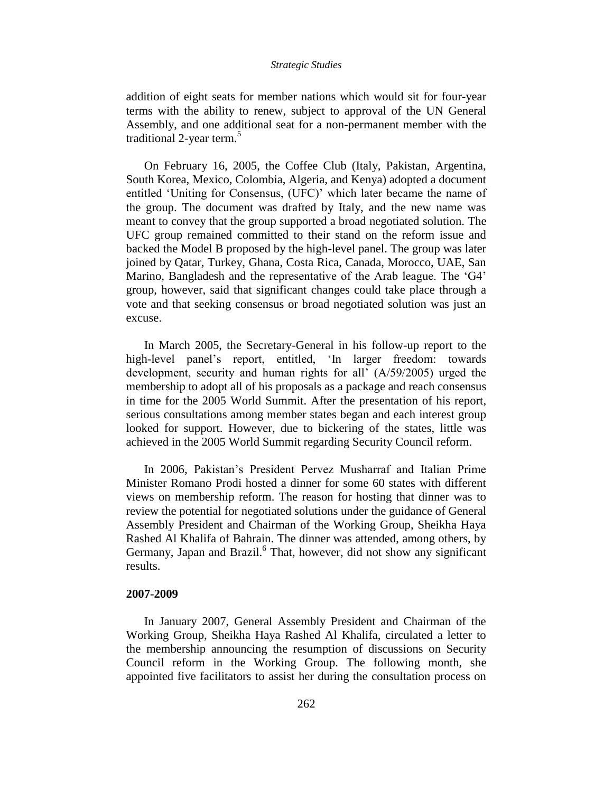addition of eight seats for member nations which would sit for four-year terms with the ability to renew, subject to approval of the UN General Assembly, and one additional seat for a non-permanent member with the traditional 2-year term.<sup>5</sup>

On February 16, 2005, the Coffee Club (Italy, Pakistan, Argentina, South Korea, Mexico, Colombia, Algeria, and Kenya) adopted a document entitled "Uniting for Consensus, (UFC)" which later became the name of the group. The document was drafted by Italy, and the new name was meant to convey that the group supported a broad negotiated solution. The UFC group remained committed to their stand on the reform issue and backed the Model B proposed by the high-level panel. The group was later joined by Qatar, Turkey, Ghana, Costa Rica, Canada, Morocco, UAE, San Marino, Bangladesh and the representative of the Arab league. The 'G4' group, however, said that significant changes could take place through a vote and that seeking consensus or broad negotiated solution was just an excuse.

In March 2005, the Secretary-General in his follow-up report to the high-level panel's report, entitled, 'In larger freedom: towards development, security and human rights for all' (A/59/2005) urged the membership to adopt all of his proposals as a package and reach consensus in time for the 2005 World Summit. After the presentation of his report, serious consultations among member states began and each interest group looked for support. However, due to bickering of the states, little was achieved in the 2005 World Summit regarding Security Council reform.

In 2006, Pakistan"s President Pervez Musharraf and Italian Prime Minister Romano Prodi hosted a dinner for some 60 states with different views on membership reform. The reason for hosting that dinner was to review the potential for negotiated solutions under the guidance of General Assembly President and Chairman of the Working Group, Sheikha Haya Rashed Al Khalifa of Bahrain. The dinner was attended, among others, by Germany, Japan and Brazil.<sup>6</sup> That, however, did not show any significant results.

### **2007-2009**

In January 2007, General Assembly President and Chairman of the Working Group, Sheikha Haya Rashed Al Khalifa, circulated a letter to the membership announcing the resumption of discussions on Security Council reform in the Working Group. The following month, she appointed five facilitators to assist her during the consultation process on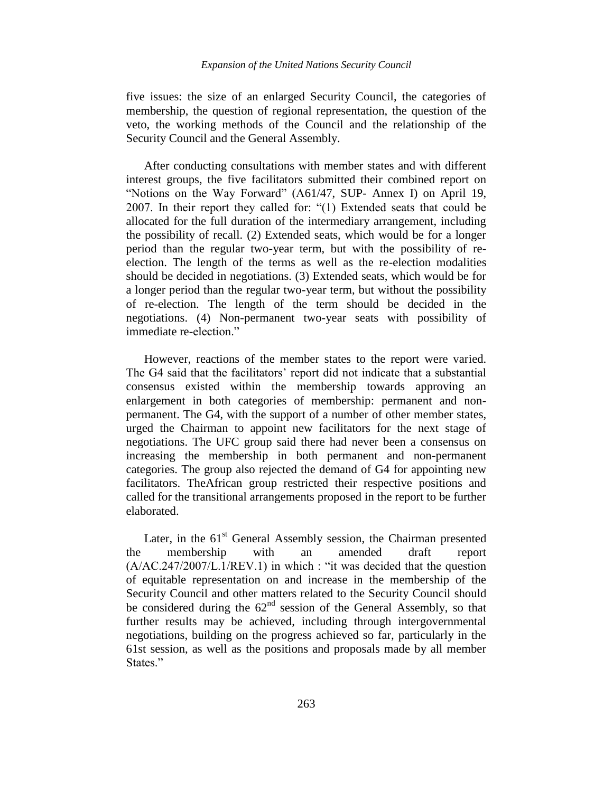five issues: the size of an enlarged Security Council, the categories of membership, the question of regional representation, the question of the veto, the working methods of the Council and the relationship of the Security Council and the General Assembly.

After conducting consultations with member states and with different interest groups, the five facilitators submitted their combined report on "Notions on the Way Forward" (A61/47, SUP- Annex I) on April 19, 2007. In their report they called for: "(1) Extended seats that could be allocated for the full duration of the intermediary arrangement, including the possibility of recall. (2) Extended seats, which would be for a longer period than the regular two-year term, but with the possibility of reelection. The length of the terms as well as the re-election modalities should be decided in negotiations. (3) Extended seats, which would be for a longer period than the regular two-year term, but without the possibility of re-election. The length of the term should be decided in the negotiations. (4) Non-permanent two-year seats with possibility of immediate re-election."

However, reactions of the member states to the report were varied. The G4 said that the facilitators' report did not indicate that a substantial consensus existed within the membership towards approving an enlargement in both categories of membership: permanent and nonpermanent. The G4, with the support of a number of other member states, urged the Chairman to appoint new facilitators for the next stage of negotiations. The UFC group said there had never been a consensus on increasing the membership in both permanent and non-permanent categories. The group also rejected the demand of G4 for appointing new facilitators. TheAfrican group restricted their respective positions and called for the transitional arrangements proposed in the report to be further elaborated.

Later, in the  $61<sup>st</sup>$  General Assembly session, the Chairman presented the membership with an amended draft report (A/AC.247/2007/L.1/REV.1) in which : "it was decided that the question of equitable representation on and increase in the membership of the Security Council and other matters related to the Security Council should be considered during the  $62<sup>nd</sup>$  session of the General Assembly, so that further results may be achieved, including through intergovernmental negotiations, building on the progress achieved so far, particularly in the 61st session, as well as the positions and proposals made by all member States."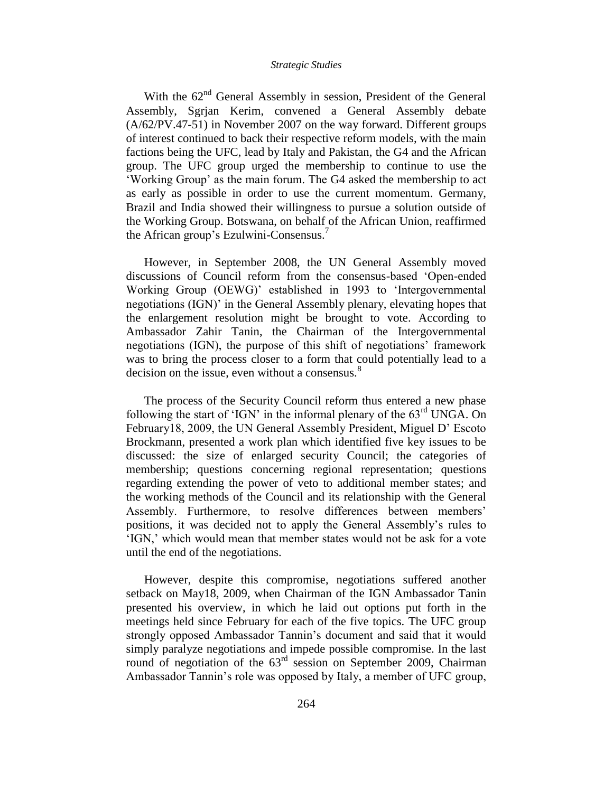With the  $62<sup>nd</sup>$  General Assembly in session, President of the General Assembly, Sgrjan Kerim, convened a General Assembly debate (A/62/PV.47-51) in November 2007 on the way forward. Different groups of interest continued to back their respective reform models, with the main factions being the UFC, lead by Italy and Pakistan, the G4 and the African group. The UFC group urged the membership to continue to use the "Working Group" as the main forum. The G4 asked the membership to act as early as possible in order to use the current momentum. Germany, Brazil and India showed their willingness to pursue a solution outside of the Working Group. Botswana, on behalf of the African Union, reaffirmed the African group's Ezulwini-Consensus.<sup>7</sup>

However, in September 2008, the UN General Assembly moved discussions of Council reform from the consensus-based "Open-ended Working Group (OEWG)" established in 1993 to "Intergovernmental negotiations (IGN)" in the General Assembly plenary, elevating hopes that the enlargement resolution might be brought to vote. According to Ambassador Zahir Tanin, the Chairman of the Intergovernmental negotiations (IGN), the purpose of this shift of negotiations' framework was to bring the process closer to a form that could potentially lead to a decision on the issue, even without a consensus.<sup>8</sup>

The process of the Security Council reform thus entered a new phase following the start of 'IGN' in the informal plenary of the  $63<sup>rd</sup>$  UNGA. On February18, 2009, the UN General Assembly President, Miguel D' Escoto Brockmann, presented a work plan which identified five key issues to be discussed: the size of enlarged security Council; the categories of membership; questions concerning regional representation; questions regarding extending the power of veto to additional member states; and the working methods of the Council and its relationship with the General Assembly. Furthermore, to resolve differences between members' positions, it was decided not to apply the General Assembly"s rules to "IGN," which would mean that member states would not be ask for a vote until the end of the negotiations.

However, despite this compromise, negotiations suffered another setback on May18, 2009, when Chairman of the IGN Ambassador Tanin presented his overview, in which he laid out options put forth in the meetings held since February for each of the five topics. The UFC group strongly opposed Ambassador Tannin"s document and said that it would simply paralyze negotiations and impede possible compromise. In the last round of negotiation of the  $63<sup>rd</sup>$  session on September 2009, Chairman Ambassador Tannin"s role was opposed by Italy, a member of UFC group,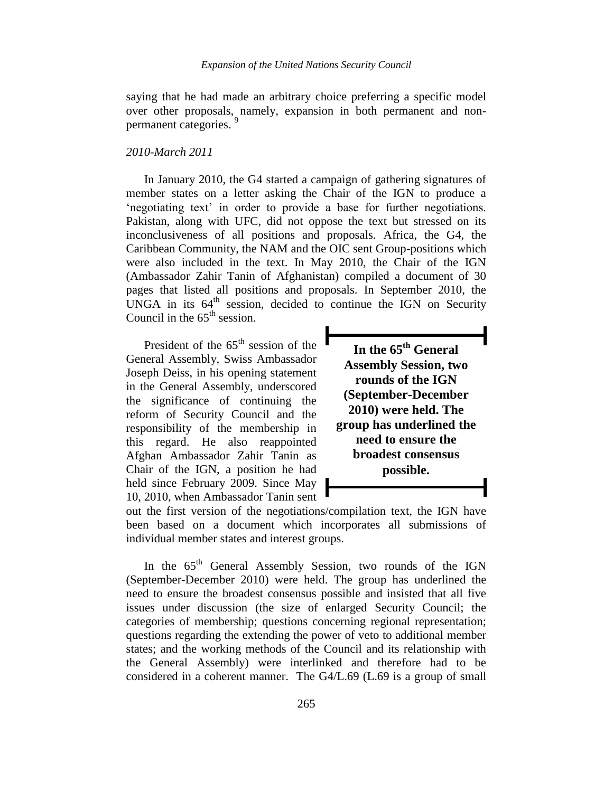saying that he had made an arbitrary choice preferring a specific model over other proposals, namely, expansion in both permanent and nonpermanent categories.<sup>9</sup>

### *2010-March 2011*

In January 2010, the G4 started a campaign of gathering signatures of member states on a letter asking the Chair of the IGN to produce a "negotiating text" in order to provide a base for further negotiations. Pakistan, along with UFC, did not oppose the text but stressed on its inconclusiveness of all positions and proposals. Africa, the G4, the Caribbean Community, the NAM and the OIC sent Group-positions which were also included in the text. In May 2010, the Chair of the IGN (Ambassador Zahir Tanin of Afghanistan) compiled a document of 30 pages that listed all positions and proposals. In September 2010, the UNGA in its  $64<sup>th</sup>$  session, decided to continue the IGN on Security Council in the  $65<sup>th</sup>$  session.

President of the 65<sup>th</sup> session of the General Assembly, Swiss Ambassador Joseph Deiss, in his opening statement in the General Assembly, underscored the significance of continuing the reform of Security Council and the responsibility of the membership in this regard. He also reappointed Afghan Ambassador Zahir Tanin as Chair of the IGN, a position he had held since February 2009. Since May 10, 2010, when Ambassador Tanin sent

**In the 65th General Assembly Session, two rounds of the IGN (September-December 2010) were held. The group has underlined the need to ensure the broadest consensus possible.**

out the first version of the negotiations/compilation text, the IGN have been based on a document which incorporates all submissions of individual member states and interest groups.

In the 65<sup>th</sup> General Assembly Session, two rounds of the IGN (September-December 2010) were held. The group has underlined the need to ensure the broadest consensus possible and insisted that all five issues under discussion (the size of enlarged Security Council; the categories of membership; questions concerning regional representation; questions regarding the extending the power of veto to additional member states; and the working methods of the Council and its relationship with the General Assembly) were interlinked and therefore had to be considered in a coherent manner. The G4/L.69 (L.69 is a group of small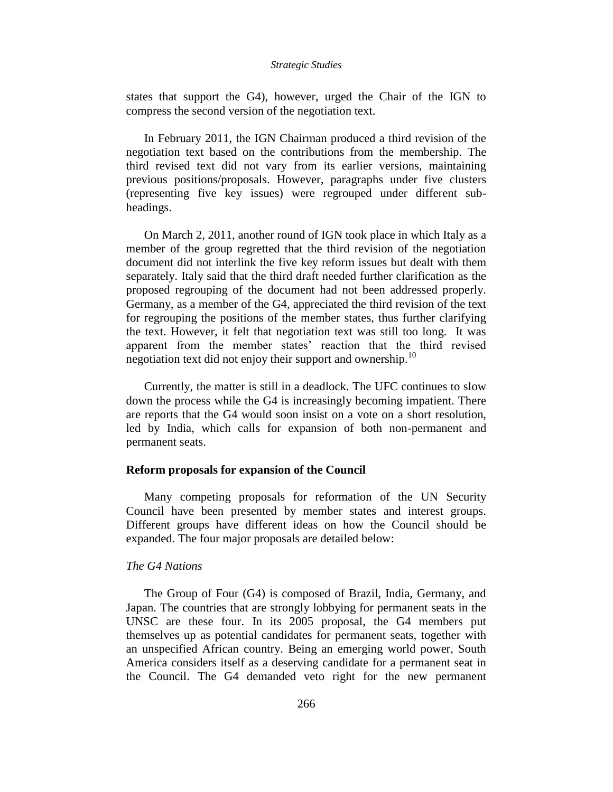states that support the G4), however, urged the Chair of the IGN to compress the second version of the negotiation text.

In February 2011, the IGN Chairman produced a third revision of the negotiation text based on the contributions from the membership. The third revised text did not vary from its earlier versions, maintaining previous positions/proposals. However, paragraphs under five clusters (representing five key issues) were regrouped under different subheadings.

On March 2, 2011, another round of IGN took place in which Italy as a member of the group regretted that the third revision of the negotiation document did not interlink the five key reform issues but dealt with them separately. Italy said that the third draft needed further clarification as the proposed regrouping of the document had not been addressed properly. Germany, as a member of the G4, appreciated the third revision of the text for regrouping the positions of the member states, thus further clarifying the text. However, it felt that negotiation text was still too long. It was apparent from the member states' reaction that the third revised negotiation text did not enjoy their support and ownership.<sup>10</sup>

Currently, the matter is still in a deadlock. The UFC continues to slow down the process while the G4 is increasingly becoming impatient. There are reports that the G4 would soon insist on a vote on a short resolution, led by India, which calls for expansion of both non-permanent and permanent seats.

### **Reform proposals for expansion of the Council**

Many competing proposals for reformation of the UN Security Council have been presented by member states and interest groups. Different groups have different ideas on how the Council should be expanded. The four major proposals are detailed below:

# *The G4 Nations*

The Group of Four (G4) is composed of Brazil, India, Germany, and Japan. The countries that are strongly lobbying for permanent seats in the UNSC are these four. In its 2005 proposal, the G4 members put themselves up as potential candidates for permanent seats, together with an unspecified African country. Being an emerging world power, South America considers itself as a deserving candidate for a permanent seat in the Council. The G4 demanded veto right for the new permanent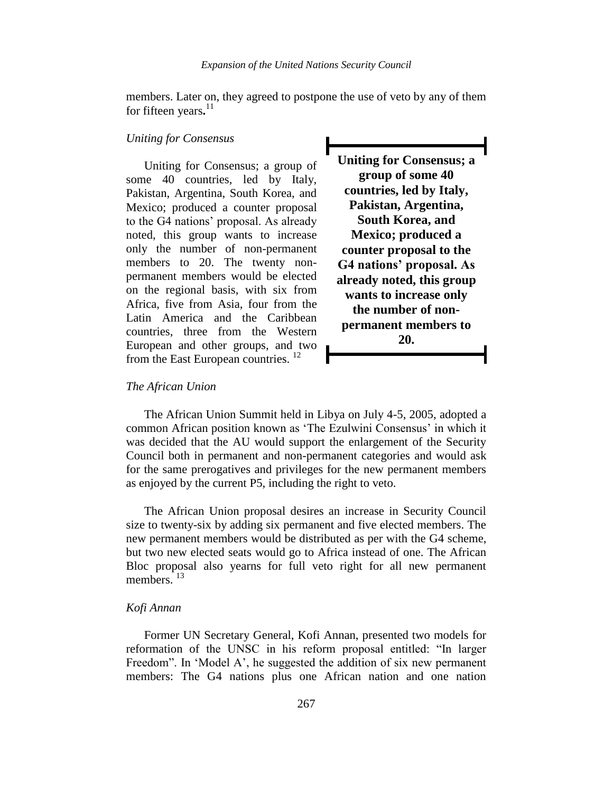members. Later on, they agreed to postpone the use of veto by any of them for fifteen years**.** 11

# *Uniting for Consensus*

Uniting for Consensus; a group of some 40 countries, led by Italy, Pakistan, Argentina, South Korea, and Mexico; produced a counter proposal to the G4 nations" proposal. As already noted, this group wants to increase only the number of non-permanent members to 20. The twenty nonpermanent members would be elected on the regional basis, with six from Africa, five from Asia, four from the Latin America and the Caribbean countries, three from the Western European and other groups, and two from the East European countries.  $^{12}$ 

**Uniting for Consensus; a group of some 40 countries, led by Italy, Pakistan, Argentina, South Korea, and Mexico; produced a counter proposal to the G4 nations' proposal. As already noted, this group wants to increase only the number of nonpermanent members to 20.**

### *The African Union*

The African Union Summit held in Libya on July 4-5, 2005, adopted a common African position known as 'The Ezulwini Consensus' in which it was decided that the AU would support the enlargement of the Security Council both in permanent and non-permanent categories and would ask for the same prerogatives and privileges for the new permanent members as enjoyed by the current P5, including the right to veto.

The African Union proposal desires an increase in Security Council size to twenty-six by adding six permanent and five elected members. The new permanent members would be distributed as per with the G4 scheme, but two new elected seats would go to Africa instead of one. The African Bloc proposal also yearns for full veto right for all new permanent members<sup>13</sup>

### *Kofi Annan*

Former UN Secretary General, Kofi Annan, presented two models for reformation of the UNSC in his reform proposal entitled: "In larger Freedom". In 'Model A', he suggested the addition of six new permanent members: The G4 nations plus one African nation and one nation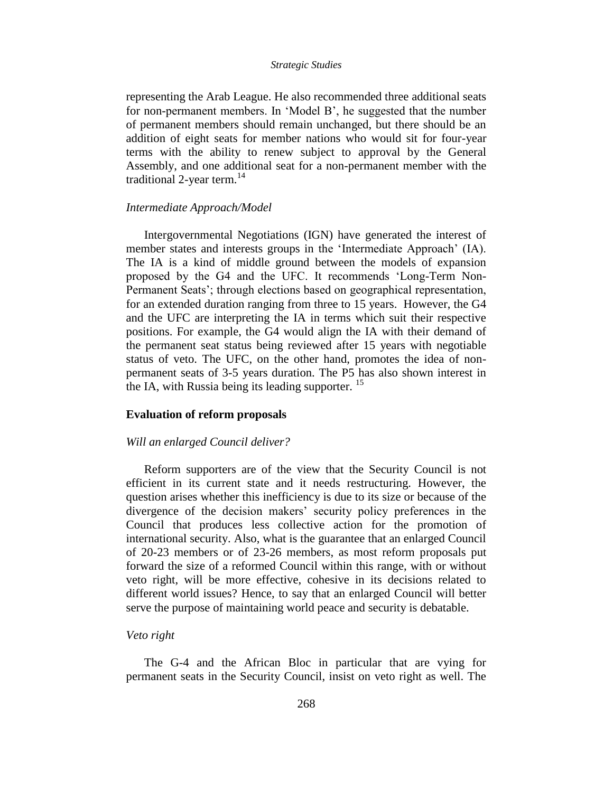representing the Arab League. He also recommended three additional seats for non-permanent members. In "Model B", he suggested that the number of permanent members should remain unchanged, but there should be an addition of eight seats for member nations who would sit for four-year terms with the ability to renew subject to approval by the General Assembly, and one additional seat for a non-permanent member with the traditional 2-year term. $14$ 

### *Intermediate Approach/Model*

Intergovernmental Negotiations (IGN) have generated the interest of member states and interests groups in the "Intermediate Approach" (IA). The IA is a kind of middle ground between the models of expansion proposed by the G4 and the UFC. It recommends "Long-Term Non-Permanent Seats'; through elections based on geographical representation, for an extended duration ranging from three to 15 years. However, the G4 and the UFC are interpreting the IA in terms which suit their respective positions. For example, the G4 would align the IA with their demand of the permanent seat status being reviewed after 15 years with negotiable status of veto. The UFC, on the other hand, promotes the idea of nonpermanent seats of 3-5 years duration. The P5 has also shown interest in the IA, with Russia being its leading supporter.  $^{15}$ 

### **Evaluation of reform proposals**

### *Will an enlarged Council deliver?*

Reform supporters are of the view that the Security Council is not efficient in its current state and it needs restructuring. However, the question arises whether this inefficiency is due to its size or because of the divergence of the decision makers' security policy preferences in the Council that produces less collective action for the promotion of international security. Also, what is the guarantee that an enlarged Council of 20-23 members or of 23-26 members, as most reform proposals put forward the size of a reformed Council within this range, with or without veto right, will be more effective, cohesive in its decisions related to different world issues? Hence, to say that an enlarged Council will better serve the purpose of maintaining world peace and security is debatable.

### *Veto right*

The G-4 and the African Bloc in particular that are vying for permanent seats in the Security Council, insist on veto right as well. The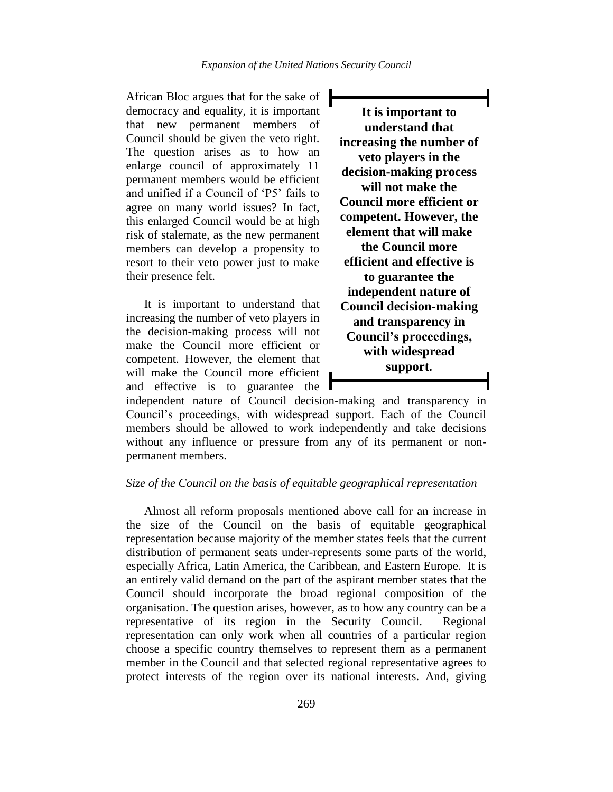African Bloc argues that for the sake of democracy and equality, it is important that new permanent members of Council should be given the veto right. The question arises as to how an enlarge council of approximately 11 permanent members would be efficient and unified if a Council of "P5" fails to agree on many world issues? In fact, this enlarged Council would be at high risk of stalemate, as the new permanent members can develop a propensity to resort to their veto power just to make their presence felt.

It is important to understand that increasing the number of veto players in the decision-making process will not make the Council more efficient or competent. However, the element that will make the Council more efficient and effective is to guarantee the

**It is important to understand that increasing the number of veto players in the decision-making process will not make the Council more efficient or competent. However, the element that will make the Council more efficient and effective is to guarantee the independent nature of Council decision-making and transparency in Council's proceedings, with widespread support.**

independent nature of Council decision-making and transparency in Council"s proceedings, with widespread support. Each of the Council members should be allowed to work independently and take decisions without any influence or pressure from any of its permanent or nonpermanent members.

# *Size of the Council on the basis of equitable geographical representation*

Almost all reform proposals mentioned above call for an increase in the size of the Council on the basis of equitable geographical representation because majority of the member states feels that the current distribution of permanent seats under-represents some parts of the world, especially Africa, Latin America, the Caribbean, and Eastern Europe. It is an entirely valid demand on the part of the aspirant member states that the Council should incorporate the broad regional composition of the organisation. The question arises, however, as to how any country can be a representative of its region in the Security Council. Regional representation can only work when all countries of a particular region choose a specific country themselves to represent them as a permanent member in the Council and that selected regional representative agrees to protect interests of the region over its national interests. And, giving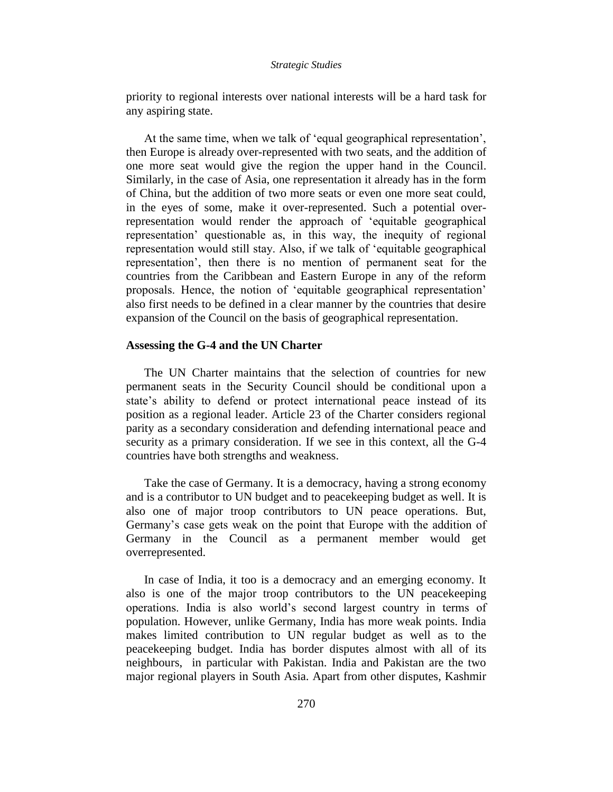priority to regional interests over national interests will be a hard task for any aspiring state.

At the same time, when we talk of 'equal geographical representation', then Europe is already over-represented with two seats, and the addition of one more seat would give the region the upper hand in the Council. Similarly, in the case of Asia, one representation it already has in the form of China, but the addition of two more seats or even one more seat could, in the eyes of some, make it over-represented. Such a potential overrepresentation would render the approach of "equitable geographical representation" questionable as, in this way, the inequity of regional representation would still stay. Also, if we talk of "equitable geographical representation", then there is no mention of permanent seat for the countries from the Caribbean and Eastern Europe in any of the reform proposals. Hence, the notion of "equitable geographical representation" also first needs to be defined in a clear manner by the countries that desire expansion of the Council on the basis of geographical representation.

# **Assessing the G-4 and the UN Charter**

The UN Charter maintains that the selection of countries for new permanent seats in the Security Council should be conditional upon a state's ability to defend or protect international peace instead of its position as a regional leader. Article 23 of the Charter considers regional parity as a secondary consideration and defending international peace and security as a primary consideration. If we see in this context, all the G-4 countries have both strengths and weakness.

Take the case of Germany. It is a democracy, having a strong economy and is a contributor to UN budget and to peacekeeping budget as well. It is also one of major troop contributors to UN peace operations. But, Germany"s case gets weak on the point that Europe with the addition of Germany in the Council as a permanent member would get overrepresented.

In case of India, it too is a democracy and an emerging economy. It also is one of the major troop contributors to the UN peacekeeping operations. India is also world"s second largest country in terms of population. However, unlike Germany, India has more weak points. India makes limited contribution to UN regular budget as well as to the peacekeeping budget. India has border disputes almost with all of its neighbours, in particular with Pakistan. India and Pakistan are the two major regional players in South Asia. Apart from other disputes, Kashmir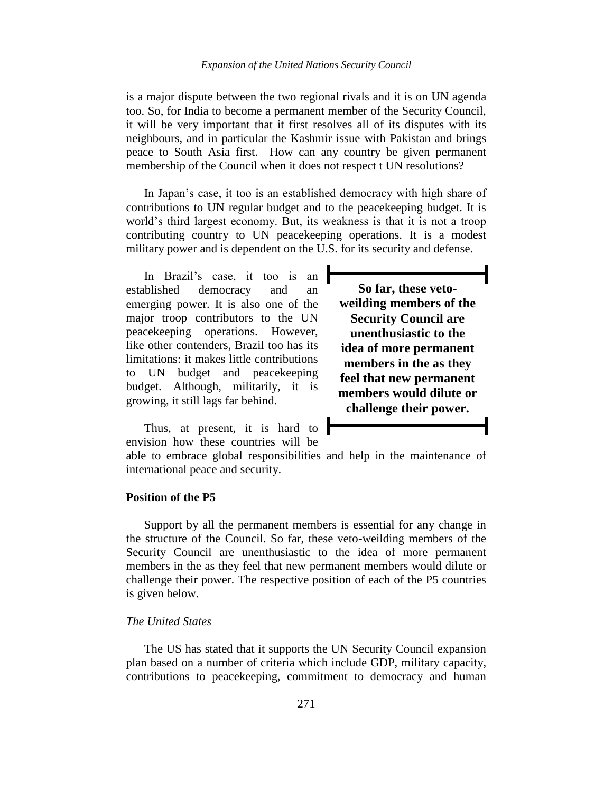is a major dispute between the two regional rivals and it is on UN agenda too. So, for India to become a permanent member of the Security Council, it will be very important that it first resolves all of its disputes with its neighbours, and in particular the Kashmir issue with Pakistan and brings peace to South Asia first. How can any country be given permanent membership of the Council when it does not respect t UN resolutions?

In Japan's case, it too is an established democracy with high share of contributions to UN regular budget and to the peacekeeping budget. It is world"s third largest economy. But, its weakness is that it is not a troop contributing country to UN peacekeeping operations. It is a modest military power and is dependent on the U.S. for its security and defense.

In Brazil"s case, it too is an established democracy and an emerging power. It is also one of the major troop contributors to the UN peacekeeping operations. However, like other contenders, Brazil too has its limitations: it makes little contributions to UN budget and peacekeeping budget. Although, militarily, it is growing, it still lags far behind.

Thus, at present, it is hard to envision how these countries will be

**So far, these vetoweilding members of the Security Council are unenthusiastic to the idea of more permanent members in the as they feel that new permanent members would dilute or challenge their power.**

able to embrace global responsibilities and help in the maintenance of international peace and security.

### **Position of the P5**

Support by all the permanent members is essential for any change in the structure of the Council. So far, these veto-weilding members of the Security Council are unenthusiastic to the idea of more permanent members in the as they feel that new permanent members would dilute or challenge their power. The respective position of each of the P5 countries is given below.

# *The United States*

The US has stated that it supports the UN Security Council expansion plan based on a number of criteria which include GDP, military capacity, contributions to peacekeeping, commitment to democracy and human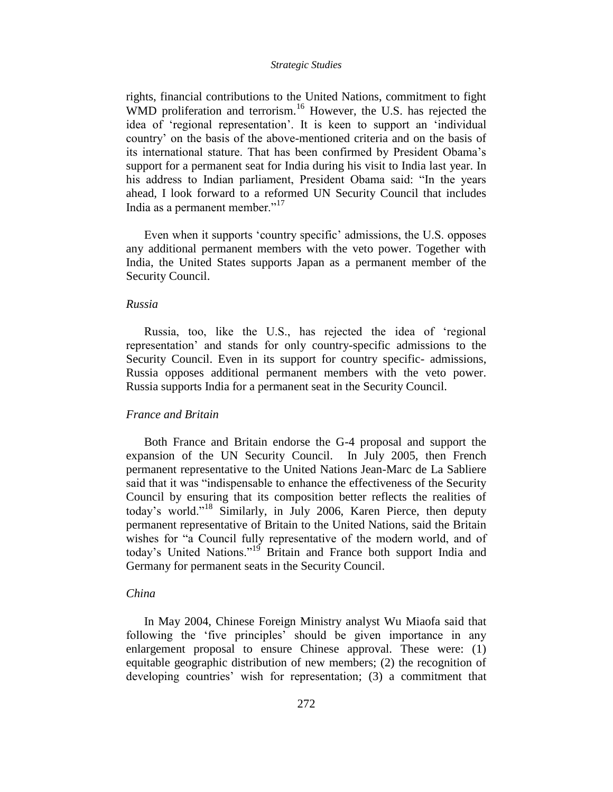rights, financial contributions to the United Nations, commitment to fight WMD proliferation and terrorism.<sup>16</sup> However, the U.S. has rejected the idea of "regional representation". It is keen to support an "individual country" on the basis of the above-mentioned criteria and on the basis of its international stature. That has been confirmed by President Obama"s support for a permanent seat for India during his visit to India last year. In his address to Indian parliament, President Obama said: "In the years ahead, I look forward to a reformed UN Security Council that includes India as a permanent member."<sup>17</sup>

Even when it supports 'country specific' admissions, the U.S. opposes any additional permanent members with the veto power. Together with India, the United States supports Japan as a permanent member of the Security Council.

### *Russia*

Russia, too, like the U.S., has rejected the idea of "regional representation" and stands for only country-specific admissions to the Security Council. Even in its support for country specific- admissions, Russia opposes additional permanent members with the veto power. Russia supports India for a permanent seat in the Security Council.

# *France and Britain*

Both France and Britain endorse the G-4 proposal and support the expansion of the UN Security Council.In July 2005, then French permanent representative to the United Nations Jean-Marc de La Sabliere said that it was "indispensable to enhance the effectiveness of the Security Council by ensuring that its composition better reflects the realities of today's world."<sup>18</sup> Similarly, in July 2006, Karen Pierce, then deputy permanent representative of Britain to the United Nations, said the Britain wishes for "a Council fully representative of the modern world, and of today's United Nations."<sup>19</sup> Britain and France both support India and Germany for permanent seats in the Security Council.

# *China*

In May 2004, Chinese Foreign Ministry analyst Wu Miaofa said that following the "five principles" should be given importance in any enlargement proposal to ensure Chinese approval. These were: (1) equitable geographic distribution of new members; (2) the recognition of developing countries' wish for representation; (3) a commitment that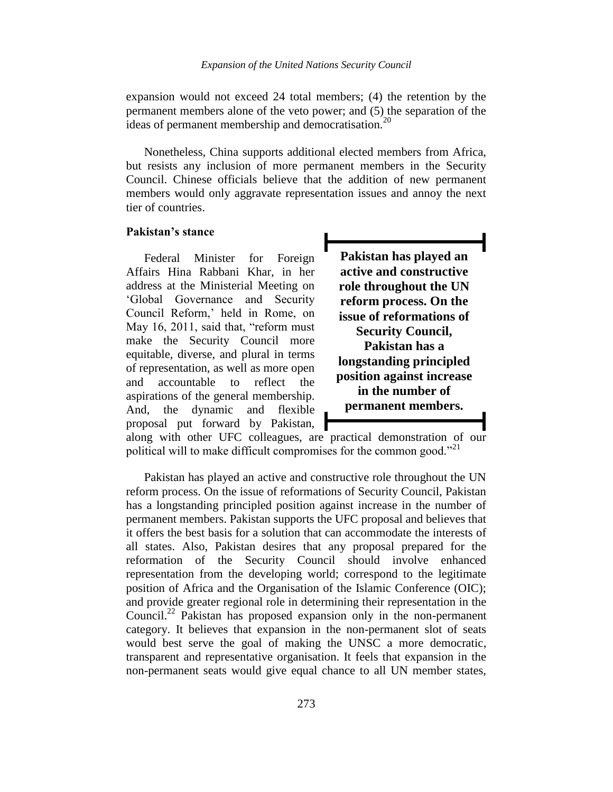expansion would not exceed 24 total members; (4) the retention by the permanent members alone of the veto power; and (5) the separation of the ideas of permanent membership and democratisation.<sup>20</sup>

Nonetheless, China supports additional elected members from Africa, but resists any inclusion of more permanent members in the Security Council. Chinese officials believe that the addition of new permanent members would only aggravate representation issues and annoy the next tier of countries.

# **Pakistan's stance**

Federal Minister for Foreign Affairs Hina Rabbani Khar, in her address at the Ministerial Meeting on "Global Governance and Security Council Reform,' held in Rome, on May 16, 2011, said that, "reform must make the Security Council more equitable, diverse, and plural in terms of representation, as well as more open and accountable to reflect the aspirations of the general membership. And, the dynamic and flexible proposal put forward by Pakistan,

**Pakistan has played an active and constructive role throughout the UN reform process. On the issue of reformations of Security Council, Pakistan has a longstanding principled position against increase in the number of permanent members.**

along with other UFC colleagues, are practical demonstration of our political will to make difficult compromises for the common good."<sup>21</sup>

Pakistan has played an active and constructive role throughout the UN reform process. On the issue of reformations of Security Council, Pakistan has a longstanding principled position against increase in the number of permanent members. Pakistan supports the UFC proposal and believes that it offers the best basis for a solution that can accommodate the interests of all states. Also, Pakistan desires that any proposal prepared for the reformation of the Security Council should involve enhanced representation from the developing world; correspond to the legitimate position of Africa and the Organisation of the Islamic Conference (OIC); and provide greater regional role in determining their representation in the Council.<sup>22</sup> Pakistan has proposed expansion only in the non-permanent category. It believes that expansion in the non-permanent slot of seats would best serve the goal of making the UNSC a more democratic, transparent and representative organisation. It feels that expansion in the non-permanent seats would give equal chance to all UN member states,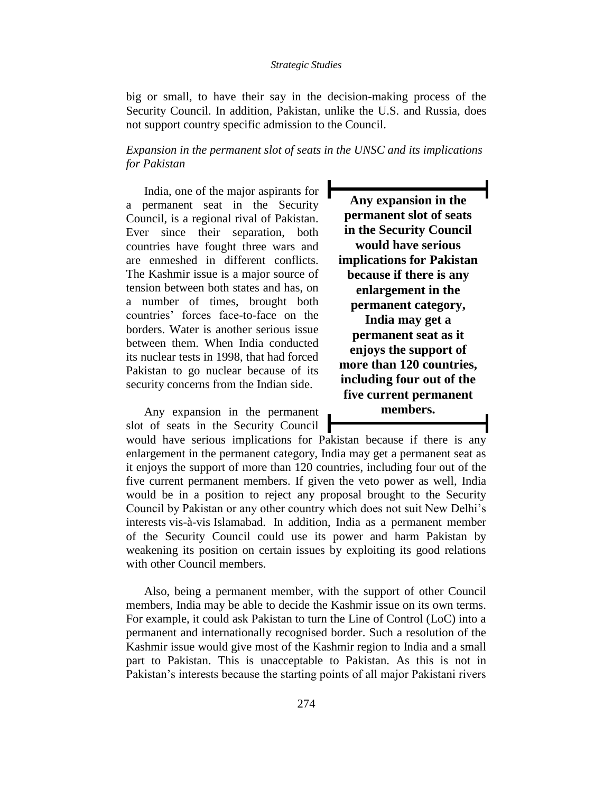big or small, to have their say in the decision-making process of the Security Council. In addition, Pakistan, unlike the U.S. and Russia, does not support country specific admission to the Council.

*Expansion in the permanent slot of seats in the UNSC and its implications for Pakistan* 

India, one of the major aspirants for a permanent seat in the Security Council, is a regional rival of Pakistan. Ever since their separation, both countries have fought three wars and are enmeshed in different conflicts. The Kashmir issue is a major source of tension between both states and has, on a number of times, brought both countries" forces face-to-face on the borders. Water is another serious issue between them. When India conducted its nuclear tests in 1998, that had forced Pakistan to go nuclear because of its security concerns from the Indian side.

Any expansion in the permanent slot of seats in the Security Council

**Any expansion in the permanent slot of seats in the Security Council would have serious implications for Pakistan because if there is any enlargement in the permanent category, India may get a permanent seat as it enjoys the support of more than 120 countries, including four out of the five current permanent members.**

would have serious implications for Pakistan because if there is any enlargement in the permanent category, India may get a permanent seat as it enjoys the support of more than 120 countries, including four out of the five current permanent members. If given the veto power as well, India would be in a position to reject any proposal brought to the Security Council by Pakistan or any other country which does not suit New Delhi"s interests vis-à-vis Islamabad. In addition, India as a permanent member of the Security Council could use its power and harm Pakistan by weakening its position on certain issues by exploiting its good relations with other Council members.

Also, being a permanent member, with the support of other Council members, India may be able to decide the Kashmir issue on its own terms. For example, it could ask Pakistan to turn the Line of Control (LoC) into a permanent and internationally recognised border. Such a resolution of the Kashmir issue would give most of the Kashmir region to India and a small part to Pakistan. This is unacceptable to Pakistan. As this is not in Pakistan"s interests because the starting points of all major Pakistani rivers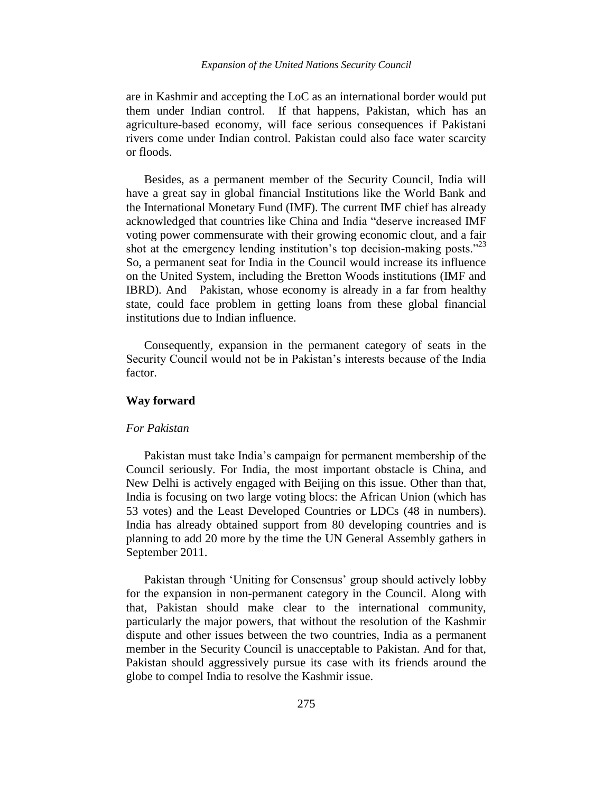are in Kashmir and accepting the LoC as an international border would put them under Indian control. If that happens, Pakistan, which has an agriculture-based economy, will face serious consequences if Pakistani rivers come under Indian control. Pakistan could also face water scarcity or floods.

Besides, as a permanent member of the Security Council, India will have a great say in global financial Institutions like the World Bank and the International Monetary Fund (IMF). The current IMF chief has already acknowledged that countries like China and India "deserve increased IMF voting power commensurate with their growing economic clout, and a fair shot at the emergency lending institution's top decision-making posts. $123$ So, a permanent seat for India in the Council would increase its influence on the United System, including the Bretton Woods institutions (IMF and IBRD). And Pakistan, whose economy is already in a far from healthy state, could face problem in getting loans from these global financial institutions due to Indian influence.

Consequently, expansion in the permanent category of seats in the Security Council would not be in Pakistan"s interests because of the India factor.

# **Way forward**

# *For Pakistan*

Pakistan must take India"s campaign for permanent membership of the Council seriously. For India, the most important obstacle is China, and New Delhi is actively engaged with Beijing on this issue. Other than that, India is focusing on two large voting blocs: the African Union (which has 53 votes) and the Least Developed Countries or LDCs (48 in numbers). India has already obtained support from 80 developing countries and is planning to add 20 more by the time the UN General Assembly gathers in September 2011.

Pakistan through 'Uniting for Consensus' group should actively lobby for the expansion in non-permanent category in the Council. Along with that, Pakistan should make clear to the international community, particularly the major powers, that without the resolution of the Kashmir dispute and other issues between the two countries, India as a permanent member in the Security Council is unacceptable to Pakistan. And for that, Pakistan should aggressively pursue its case with its friends around the globe to compel India to resolve the Kashmir issue.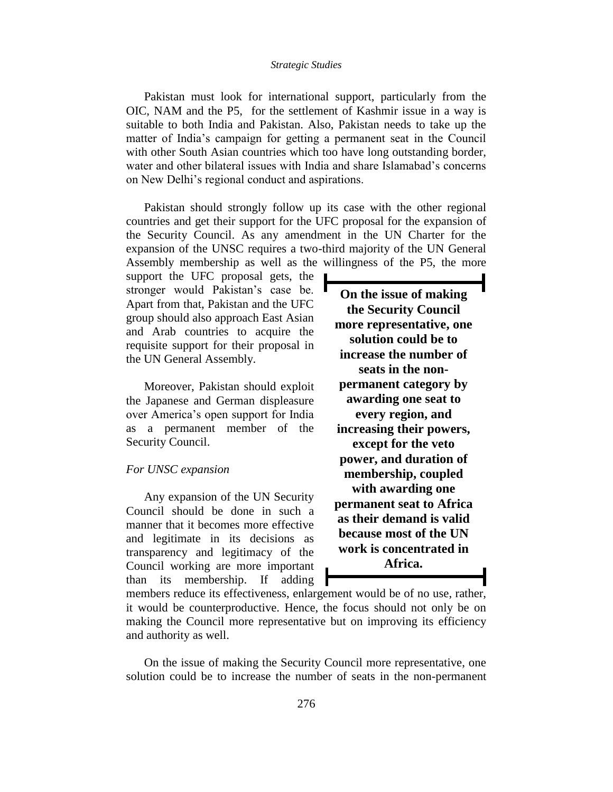Pakistan must look for international support, particularly from the OIC, NAM and the P5, for the settlement of Kashmir issue in a way is suitable to both India and Pakistan. Also, Pakistan needs to take up the matter of India's campaign for getting a permanent seat in the Council with other South Asian countries which too have long outstanding border, water and other bilateral issues with India and share Islamabad's concerns on New Delhi"s regional conduct and aspirations.

Pakistan should strongly follow up its case with the other regional countries and get their support for the UFC proposal for the expansion of the Security Council. As any amendment in the UN Charter for the expansion of the UNSC requires a two-third majority of the UN General Assembly membership as well as the willingness of the P5, the more

support the UFC proposal gets, the stronger would Pakistan"s case be. Apart from that, Pakistan and the UFC group should also approach East Asian and Arab countries to acquire the requisite support for their proposal in the UN General Assembly.

Moreover, Pakistan should exploit the Japanese and German displeasure over America"s open support for India as a permanent member of the Security Council.

### *For UNSC expansion*

Any expansion of the UN Security Council should be done in such a manner that it becomes more effective and legitimate in its decisions as transparency and legitimacy of the Council working are more important than its membership. If adding

**On the issue of making the Security Council more representative, one solution could be to increase the number of seats in the nonpermanent category by awarding one seat to every region, and increasing their powers, except for the veto power, and duration of membership, coupled with awarding one permanent seat to Africa as their demand is valid because most of the UN work is concentrated in Africa.**

members reduce its effectiveness, enlargement would be of no use, rather, it would be counterproductive. Hence, the focus should not only be on making the Council more representative but on improving its efficiency and authority as well.

On the issue of making the Security Council more representative, one solution could be to increase the number of seats in the non-permanent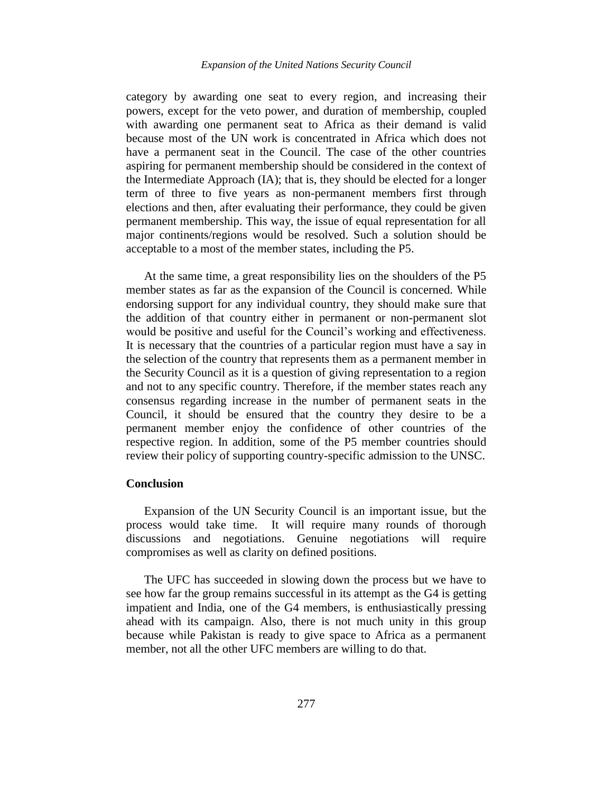category by awarding one seat to every region, and increasing their powers, except for the veto power, and duration of membership, coupled with awarding one permanent seat to Africa as their demand is valid because most of the UN work is concentrated in Africa which does not have a permanent seat in the Council. The case of the other countries aspiring for permanent membership should be considered in the context of the Intermediate Approach (IA); that is, they should be elected for a longer term of three to five years as non-permanent members first through elections and then, after evaluating their performance, they could be given permanent membership. This way, the issue of equal representation for all major continents/regions would be resolved. Such a solution should be acceptable to a most of the member states, including the P5.

At the same time, a great responsibility lies on the shoulders of the P5 member states as far as the expansion of the Council is concerned. While endorsing support for any individual country, they should make sure that the addition of that country either in permanent or non-permanent slot would be positive and useful for the Council"s working and effectiveness. It is necessary that the countries of a particular region must have a say in the selection of the country that represents them as a permanent member in the Security Council as it is a question of giving representation to a region and not to any specific country. Therefore, if the member states reach any consensus regarding increase in the number of permanent seats in the Council, it should be ensured that the country they desire to be a permanent member enjoy the confidence of other countries of the respective region. In addition, some of the P5 member countries should review their policy of supporting country-specific admission to the UNSC.

### **Conclusion**

Expansion of the UN Security Council is an important issue, but the process would take time. It will require many rounds of thorough discussions and negotiations. Genuine negotiations will require compromises as well as clarity on defined positions.

The UFC has succeeded in slowing down the process but we have to see how far the group remains successful in its attempt as the G4 is getting impatient and India, one of the G4 members, is enthusiastically pressing ahead with its campaign. Also, there is not much unity in this group because while Pakistan is ready to give space to Africa as a permanent member, not all the other UFC members are willing to do that.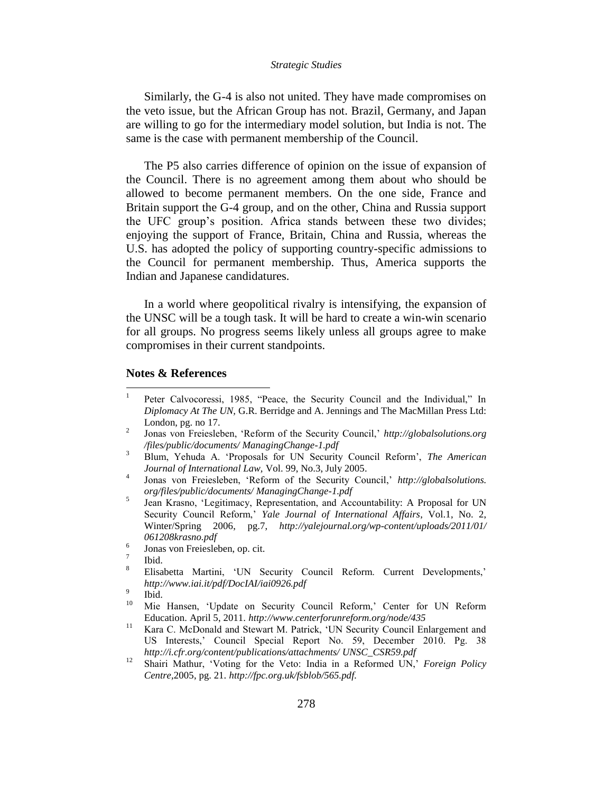Similarly, the G-4 is also not united. They have made compromises on the veto issue, but the African Group has not. Brazil, Germany, and Japan are willing to go for the intermediary model solution, but India is not. The same is the case with permanent membership of the Council.

The P5 also carries difference of opinion on the issue of expansion of the Council. There is no agreement among them about who should be allowed to become permanent members. On the one side, France and Britain support the G-4 group, and on the other, China and Russia support the UFC group"s position. Africa stands between these two divides; enjoying the support of France, Britain, China and Russia, whereas the U.S. has adopted the policy of supporting country-specific admissions to the Council for permanent membership. Thus, America supports the Indian and Japanese candidatures.

In a world where geopolitical rivalry is intensifying, the expansion of the UNSC will be a tough task. It will be hard to create a win-win scenario for all groups. No progress seems likely unless all groups agree to make compromises in their current standpoints.

### **Notes & References**

 $\frac{1}{1}$ Peter Calvocoressi, 1985, "Peace, the Security Council and the Individual," In *Diplomacy At The UN,* G.R. Berridge and A. Jennings and The MacMillan Press Ltd: London, pg. no 17.

<sup>2</sup> Jonas von Freiesleben, "Reform of the Security Council," *http://globalsolutions.org /files/public/documents/ ManagingChange-1.pdf*

<sup>3</sup> Blum, Yehuda A. "Proposals for UN Security Council Reform", *The American Journal of International Law,* Vol. 99, No.3, July 2005. 4

Jonas von Freiesleben, 'Reform of the Security Council,' *http://globalsolutions. org/files/public/documents/ ManagingChange-1.pdf*

<sup>5</sup> Jean Krasno, "Legitimacy, Representation, and Accountability: A Proposal for UN Security Council Reform," *Yale Journal of International Affairs*, Vol.1, No. 2, Winter/Spring 2006, pg.7, *http://yalejournal.org/wp-content/uploads/2011/01/ 061208krasno.pdf*  6

Jonas von Freiesleben, op. cit.

<sup>7</sup> Ibid.

<sup>&</sup>lt;sup>8</sup> Elisabetta Martini, 'UN Security Council Reform. Current Developments,' *http://www.iai.it/pdf/DocIAI/iai0926.pdf* 9

Ibid.

<sup>&</sup>lt;sup>10</sup> Mie Hansen, 'Update on Security Council Reform,' Center for UN Reform Education. April 5, 2011. *http://www.centerforunreform.org/node/435*

<sup>&</sup>lt;sup>11</sup> Kara C. McDonald and Stewart M. Patrick, 'UN Security Council Enlargement and US Interests," Council Special Report No. 59, December 2010. Pg. 38 *http://i.cfr.org/content/publications/attachments/ UNSC\_CSR59.pdf*

<sup>12</sup> Shairi Mathur, "Voting for the Veto: India in a Reformed UN," *Foreign Policy Centre,*2005, pg. 21. *http://fpc.org.uk/fsblob/565.pdf.*